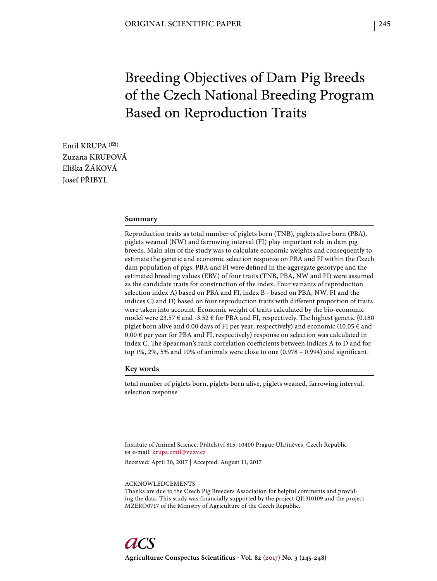# Breeding Objectives of Dam Pig Breeds of the Czech National Breeding Program Based on Reproduction Traits

Emil KRUPA  $($ Zuzana KRUPOVÁ Eliška ŽÁKOVÁ Josef PŘIBYL

#### **Summary**

Reproduction traits as total number of piglets born (TNB), piglets alive born (PBA), piglets weaned (NW) and farrowing interval (FI) play important role in dam pig breeds. Main aim of the study was to calculate economic weights and consequently to estimate the genetic and economic selection response on PBA and FI within the Czech dam population of pigs. PBA and FI were defined in the aggregate genotype and the estimated breeding values (EBV) of four traits (TNB, PBA, NW and FI) were assumed as the candidate traits for construction of the index. Four variants of reproduction selection index A) based on PBA and FI, index B - based on PBA, NW, FI and the indices C) and D) based on four reproduction traits with different proportion of traits were taken into account. Economic weight of traits calculated by the bio-economic model were 23.57  $\epsilon$  and -3.52  $\epsilon$  for PBA and FI, respectively. The highest genetic (0.180 piglet born alive and 0.00 days of FI per year, respectively) and economic (10.05  $\epsilon$  and  $0.00 \in$  per year for PBA and FI, respectively) response on selection was calculated in index C. The Spearman's rank correlation coefficients between indices A to D and for top 1%, 2%, 5% and 10% of animals were close to one  $(0.978 - 0.994)$  and significant.

## **Key words**

total number of piglets born, piglets born alive, piglets weaned, farrowing interval, selection response

Institute of Animal Science, Přátelství 815, 10400 Prague Uhříněves, Czech Republic e-mail: krupa.emil@vuzv.cz

Received: April 30, 2017 | Accepted: August 11, 2017

#### ACKNOWLEDGEMENTS

Thanks are due to the Czech Pig Breeders Association for helpful comments and providing the data. This study was financially supported by the project QJ1310109 and the project MZERO0717 of the Ministry of Agriculture of the Czech Republic.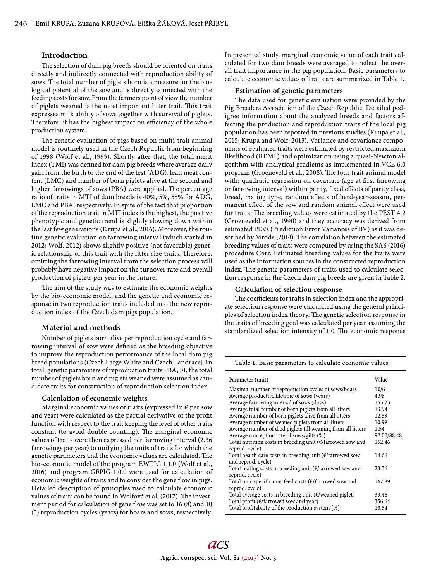## **Introduction**

The selection of dam pig breeds should be oriented on traits directly and indirectly connected with reproduction ability of sows. The total number of piglets born is a measure for the biological potential of the sow and is directly connected with the feeding costs for sow. From the farmers point of view the number of piglets weaned is the most important litter trait. This trait expresses milk ability of sows together with survival of piglets. Therefore, it has the highest impact on efficiency of the whole production system.

The genetic evaluation of pigs based on multi-trait animal model is routinely used in the Czech Republic from beginning of 1998 (Wolf et al., 1999). Shortly after that, the total merit index (TMI) was defined for dam pig breeds where average daily gain from the birth to the end of the test (ADG), lean meat content (LMC) and number of born piglets alive at the second and higher farrowings of sows (PBA) were applied. The percentage ratio of traits in MTI of dam breeds is 40%, 5%, 55% for ADG, LMC and PBA, respectively. In spite of the fact that proportion of the reproduction trait in MTI index is the highest, the positive phenotypic and genetic trend is slightly slowing down within the last few generations (Krupa et al., 2016). Moreover, the routine genetic evaluation on farrowing interval (which started in 2012; Wolf, 2012) shows slightly positive (not favorable) genetic relationship of this trait with the litter size traits. Therefore, omitting the farrowing interval from the selection process will probably have negative impact on the turnover rate and overall production of piglets per year in the future.

The aim of the study was to estimate the economic weights by the bio-economic model, and the genetic and economic response in two reproduction traits included into the new reproduction index of the Czech dam pigs population.

## **Material and methods**

Number of piglets born alive per reproduction cycle and farrowing interval of sow were defined as the breeding objective to improve the reproduction performance of the local dam pig breed populations (Czech Large White and Czech Landrace). In total, genetic parameters of reproduction traits PBA, FI, the total number of piglets born and piglets weaned were assumed as candidate traits for construction of reproduction selection index.

### **Calculation of economic weights**

Marginal economic values of traits (expressed in  $\epsilon$  per sow and year) were calculated as the partial derivative of the profit function with respect to the trait keeping the level of other traits constant (to avoid double counting). The marginal economic values of traits were then expressed per farrowing interval (2.36 farrowings per year) to unifying the units of traits for which the genetic parameters and the economic values are calculated. The bio-economic model of the program EWPIG 1.1.0 (Wolf et al., 2016) and program GFPIG 1.0.0 were used for calculation of economic weights of traits and to consider the gene flow in pigs. Detailed description of principles used to calculate economic values of traits can be found in Wolfová et al. (2017). The investment period for calculation of gene flow was set to 16 (8) and 10 (5) reproduction cycles (years) for boars and sows, respectively.

In presented study, marginal economic value of each trait calculated for two dam breeds were averaged to reflect the overall trait importance in the pig population. Basic parameters to calculate economic values of traits are summarized in Table 1.

### **Estimation of genetic parameters**

The data used for genetic evaluation were provided by the Pig Breeders Association of the Czech Republic. Detailed pedigree information about the analyzed breeds and factors affecting the production and reproduction traits of the local pig population has been reported in previous studies (Krupa et al., 2015; Krupa and Wolf, 2013). Variance and covariance components of evaluated traits were estimated by restricted maximum likelihood (REML) and optimization using a quasi-Newton algorithm with analytical gradients as implemented in VCE 6.0 program (Groeneveld et al., 2008). The four trait animal model with: quadratic regression on covariate (age at first farrowing or farrowing interval) within parity, fixed effects of parity class, breed, mating type, random effects of herd-year-season, permanent effect of the sow and random animal effect were used for traits. The breeding values were estimated by the PEST 4.2 (Groeneveld et al., 1990) and they accuracy was derived from estimated PEVs (Prediction Error Variances of BV) as it was described by Mrode (2014). The correlation between the estimated breeding values of traits were computed by using the SAS (2016) procedure Corr. Estimated breeding values for the traits were used as the information sources in the constructed reproduction index. The genetic parameters of traits used to calculate selection response in the Czech dam pig breeds are given in Table 2.

## **Calculation of selection response**

The coefficients for traits in selection index and the appropriate selection response were calculated using the general principles of selection index theory. The genetic selection response in the traits of breeding goal was calculated per year assuming the standardized selection intensity of 1.0. The economic response

| Table 1. Basic parameters to calculate economic values                             |             |  |  |  |  |  |
|------------------------------------------------------------------------------------|-------------|--|--|--|--|--|
| Parameter (unit)                                                                   | Value       |  |  |  |  |  |
| Maximal number of reproduction cycles of sows/boars                                | 10/6        |  |  |  |  |  |
| Average productive lifetime of sows (years)                                        | 4.98        |  |  |  |  |  |
| Average farrowing interval of sows (days)                                          | 155.25      |  |  |  |  |  |
| Average total number of born piglets from all litters                              | 13.94       |  |  |  |  |  |
| Average number of born piglets alive from all litters                              | 12.53       |  |  |  |  |  |
| Average number of weaned piglets from all litters                                  | 10.99       |  |  |  |  |  |
| Average number of died piglets till weaning from all litters                       | 1.54        |  |  |  |  |  |
| Average conception rate of sows/gilts (%)                                          | 92.00/88.48 |  |  |  |  |  |
| Total nutrition costs in breeding unit ( $\epsilon$ /farrowed sow and              | 152.46      |  |  |  |  |  |
| reprod. cycle)                                                                     |             |  |  |  |  |  |
| Total health care costs in breeding unit ( $\epsilon$ /farrowed sow                | 14.66       |  |  |  |  |  |
| and reprod. cycle)                                                                 |             |  |  |  |  |  |
| Total mating costs in breeding unit ( $\epsilon$ /farrowed sow and                 | 23.36       |  |  |  |  |  |
| reprod. cycle)                                                                     |             |  |  |  |  |  |
| Total non-specific non-feed costs ( $\epsilon$ /farrowed sow and<br>reprod. cycle) | 167.89      |  |  |  |  |  |
|                                                                                    | 33.46       |  |  |  |  |  |
| Total average costs in breeding unit ( $\epsilon$ /weaned piglet)                  |             |  |  |  |  |  |
| Total profit (€/farrowed sow and year)                                             | 356.64      |  |  |  |  |  |
| Total profitability of the production system (%)                                   | 10.54       |  |  |  |  |  |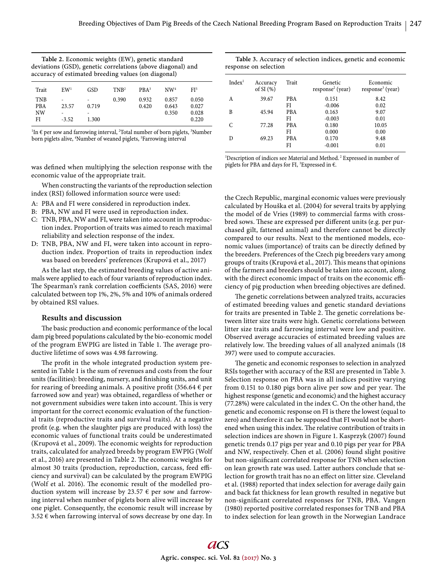| Table 2. Economic weights (EW), genetic standard            |
|-------------------------------------------------------------|
| deviations (GSD), genetic correlations (above diagonal) and |
| accuracy of estimated breeding values (on diagonal)         |
|                                                             |

| Trait                                | EW <sup>1</sup>            | <b>GSD</b>                                      | TNR <sup>2</sup> | PBA <sup>3</sup> | NW <sup>4</sup>         | FI <sup>5</sup>                  |
|--------------------------------------|----------------------------|-------------------------------------------------|------------------|------------------|-------------------------|----------------------------------|
| <b>TNB</b><br><b>PBA</b><br>NW<br>FI | ٠<br>23.57<br>-<br>$-3.52$ | $\overline{\phantom{a}}$<br>0.719<br>-<br>1.300 | 0.390            | 0.932<br>0.420   | 0.857<br>0.643<br>0.350 | 0.050<br>0.027<br>0.028<br>0.220 |

<sup>1</sup>In € per sow and farrowing interval, <sup>2</sup>Total number of born piglets, <sup>3</sup>Number born piglets alive, <sup>4</sup>Number of weaned piglets, <sup>5</sup>Farrowing interval

was defined when multiplying the selection response with the economic value of the appropriate trait.

When constructing the variants of the reproduction selection index (RSI) followed information source were used:

- A: PBA and FI were considered in reproduction index.
- B: PBA, NW and FI were used in reproduction index.
- C: TNB, PBA, NW and FI, were taken into account in reproduction index. Proportion of traits was aimed to reach maximal reliability and selection response of the index.
- D: TNB, PBA, NW and FI, were taken into account in reproduction index. Proportion of traits in reproduction index was based on breeders' preferences (Krupová et al., 2017)

As the last step, the estimated breeding values of active animals were applied to each of four variants of reproduction index. The Spearman's rank correlation coefficients (SAS, 2016) were calculated between top 1%, 2%, 5% and 10% of animals ordered by obtained RSI values.

## **Results and discussion**

The basic production and economic performance of the local dam pig breed populations calculated by the bio-economic model of the program EWPIG are listed in Table 1. The average productive lifetime of sows was 4.98 farrowing.

The profit in the whole integrated production system presented in Table 1 is the sum of revenues and costs from the four units (facilities): breeding, nursery, and finishing units, and unit for rearing of breeding animals. A positive profit (356.64  $\epsilon$  per farrowed sow and year) was obtained, regardless of whether or not government subsidies were taken into account. This is very important for the correct economic evaluation of the functional traits (reproductive traits and survival traits). At a negative profit (e.g. when the slaughter pigs are produced with loss) the economic values of functional traits could be underestimated (Krupová et al., 2009). The economic weights for reproduction traits, calculated for analyzed breeds by program EWPIG (Wolf et al., 2016) are presented in Table 2. The economic weights for almost 30 traits (production, reproduction, carcass, feed efficiency and survival) can be calculated by the program EWPIG (Wolf et al. 2016). The economic result of the modelled production system will increase by 23.57  $\epsilon$  per sow and farrowing interval when number of piglets born alive will increase by one piglet. Consequently, the economic result will increase by 3.52 € when farrowing interval of sows decrease by one day. In

**Table 3.** Accuracy of selection indices, genetic and economic response on selection

| Index <sup>1</sup> | Accuracy<br>of SI $(%)$ | Trait      | Genetic<br>$response2$ (year) | Economic<br>$response3$ (year) |
|--------------------|-------------------------|------------|-------------------------------|--------------------------------|
| A                  | 39.67                   | <b>PBA</b> | 0.151                         | 8.42                           |
|                    |                         | FI         | $-0.006$                      | 0.02                           |
| B                  | 45.94                   | <b>PBA</b> | 0.163                         | 9.07                           |
|                    |                         | FI         | $-0.003$                      | 0.01                           |
| C                  | 77.28                   | <b>PBA</b> | 0.180                         | 10.05                          |
|                    |                         | FI         | 0.000                         | 0.00                           |
| D                  | 69.23                   | <b>PBA</b> | 0.170                         | 9.48                           |
|                    |                         | FI         | $-0.001$                      | 0.01                           |

<sup>1</sup>Description of indices see Material and Method.<sup>2</sup> Expressed in number of piglets for PBA and days for FI,  ${}^{3}$ Expressed in €.

the Czech Republic, marginal economic values were previously calculated by Houška et al. (2004) for several traits by applying the model of de Vries (1989) to commercial farms with crossbred sows. These are expressed per different units (e.g. per purchased gilt, fattened animal) and therefore cannot be directly compared to our results. Next to the mentioned models, economic values (importance) of traits can be directly defined by the breeders. Preferences of the Czech pig breeders vary among groups of traits (Krupová et al., 2017). This means that opinions of the farmers and breeders should be taken into account, along with the direct economic impact of traits on the economic efficiency of pig production when breeding objectives are defined.

The genetic correlations between analyzed traits, accuracies of estimated breeding values and genetic standard deviations for traits are presented in Table 2. The genetic correlations between litter size traits were high. Genetic correlations between litter size traits and farrowing interval were low and positive. Observed average accuracies of estimated breeding values are relatively low. The breeding values of all analyzed animals (18 397) were used to compute accuracies.

The genetic and economic responses to selection in analyzed RSIs together with accuracy of the RSI are presented in Table 3. Selection response on PBA was in all indices positive varying from 0.151 to 0.180 pigs born alive per sow and per year. The highest response (genetic and economic) and the highest accuracy (77.28%) were calculated in the index C. On the other hand, the genetic and economic response on FI is there the lowest (equal to zero) and therefore it can be supposed that FI would not be shortened when using this index. The relative contribution of traits in selection indices are shown in Figure 1. Kasprzyk (2007) found genetic trends 0.17 pigs per year and 0.10 pigs per year for PBA and NW, respectively. Chen et al. (2006) found slight positive but non-significant correlated response for TNB when selection on lean growth rate was used. Latter authors conclude that selection for growth trait has no an effect on litter size. Cleveland et al. (1988) reported that index selection for average daily gain and back fat thickness for lean growth resulted in negative but non-significant correlated responses for TNB, PBA. Vangen (1980) reported positive correlated responses for TNB and PBA to index selection for lean growth in the Norwegian Landrace